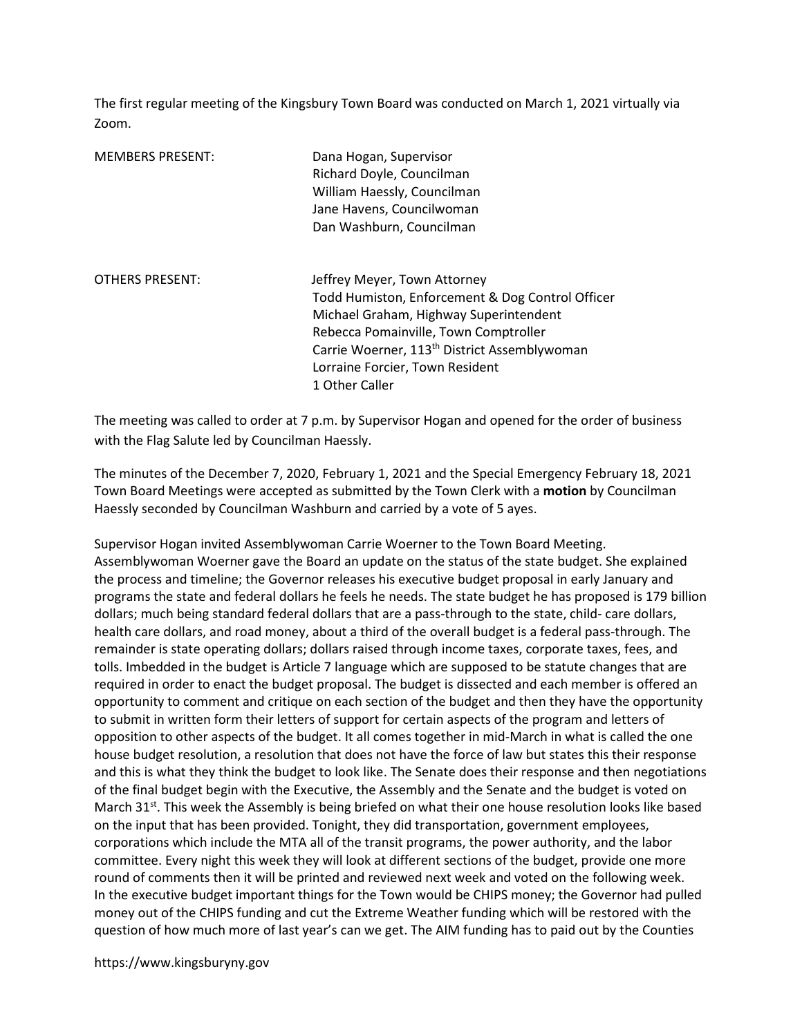The first regular meeting of the Kingsbury Town Board was conducted on March 1, 2021 virtually via Zoom.

| <b>MEMBERS PRESENT:</b> | Dana Hogan, Supervisor<br>Richard Doyle, Councilman<br>William Haessly, Councilman<br>Jane Havens, Councilwoman<br>Dan Washburn, Councilman                                                                                                                                          |
|-------------------------|--------------------------------------------------------------------------------------------------------------------------------------------------------------------------------------------------------------------------------------------------------------------------------------|
| <b>OTHERS PRESENT:</b>  | Jeffrey Meyer, Town Attorney<br>Todd Humiston, Enforcement & Dog Control Officer<br>Michael Graham, Highway Superintendent<br>Rebecca Pomainville, Town Comptroller<br>Carrie Woerner, 113 <sup>th</sup> District Assemblywoman<br>Lorraine Forcier, Town Resident<br>1 Other Caller |

The meeting was called to order at 7 p.m. by Supervisor Hogan and opened for the order of business with the Flag Salute led by Councilman Haessly.

The minutes of the December 7, 2020, February 1, 2021 and the Special Emergency February 18, 2021 Town Board Meetings were accepted as submitted by the Town Clerk with a motion by Councilman Haessly seconded by Councilman Washburn and carried by a vote of 5 ayes.

Supervisor Hogan invited Assemblywoman Carrie Woerner to the Town Board Meeting. Assemblywoman Woerner gave the Board an update on the status of the state budget. She explained the process and timeline; the Governor releases his executive budget proposal in early January and programs the state and federal dollars he feels he needs. The state budget he has proposed is 179 billion dollars; much being standard federal dollars that are a pass-through to the state, child- care dollars, health care dollars, and road money, about a third of the overall budget is a federal pass-through. The remainder is state operating dollars; dollars raised through income taxes, corporate taxes, fees, and tolls. Imbedded in the budget is Article 7 language which are supposed to be statute changes that are required in order to enact the budget proposal. The budget is dissected and each member is offered an opportunity to comment and critique on each section of the budget and then they have the opportunity to submit in written form their letters of support for certain aspects of the program and letters of opposition to other aspects of the budget. It all comes together in mid-March in what is called the one house budget resolution, a resolution that does not have the force of law but states this their response and this is what they think the budget to look like. The Senate does their response and then negotiations of the final budget begin with the Executive, the Assembly and the Senate and the budget is voted on March 31 $st$ . This week the Assembly is being briefed on what their one house resolution looks like based on the input that has been provided. Tonight, they did transportation, government employees, corporations which include the MTA all of the transit programs, the power authority, and the labor committee. Every night this week they will look at different sections of the budget, provide one more round of comments then it will be printed and reviewed next week and voted on the following week. In the executive budget important things for the Town would be CHIPS money; the Governor had pulled money out of the CHIPS funding and cut the Extreme Weather funding which will be restored with the question of how much more of last year's can we get. The AIM funding has to paid out by the Counties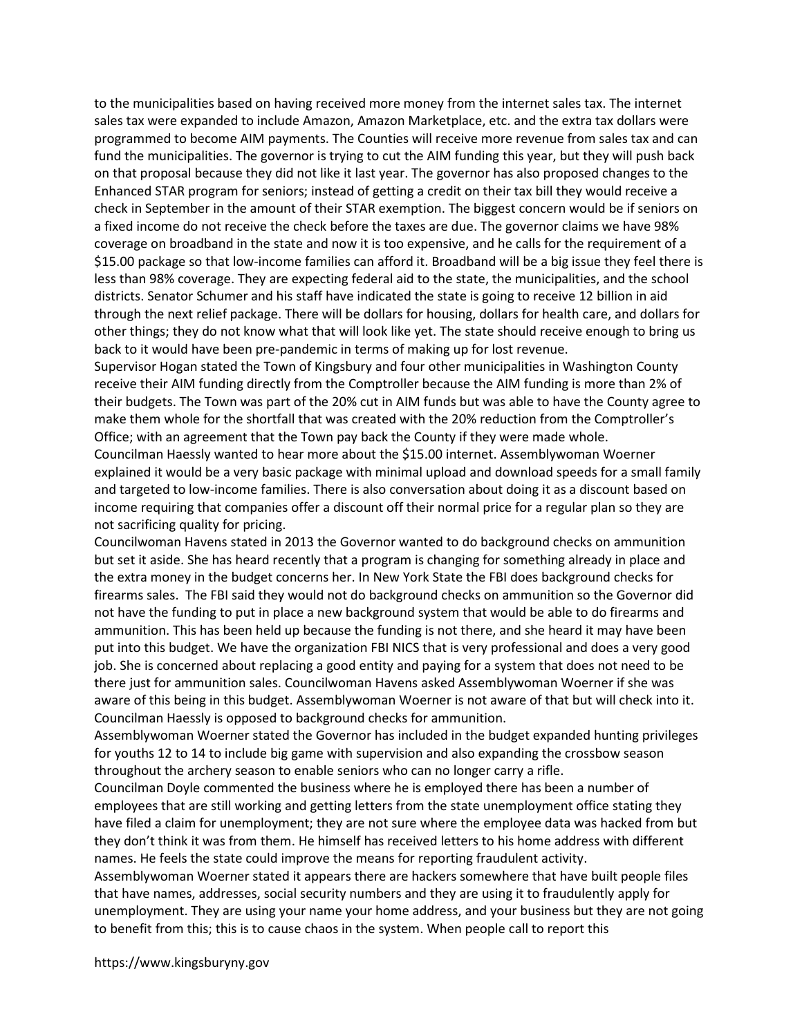to the municipalities based on having received more money from the internet sales tax. The internet sales tax were expanded to include Amazon, Amazon Marketplace, etc. and the extra tax dollars were programmed to become AIM payments. The Counties will receive more revenue from sales tax and can fund the municipalities. The governor is trying to cut the AIM funding this year, but they will push back on that proposal because they did not like it last year. The governor has also proposed changes to the Enhanced STAR program for seniors; instead of getting a credit on their tax bill they would receive a check in September in the amount of their STAR exemption. The biggest concern would be if seniors on a fixed income do not receive the check before the taxes are due. The governor claims we have 98% coverage on broadband in the state and now it is too expensive, and he calls for the requirement of a \$15.00 package so that low-income families can afford it. Broadband will be a big issue they feel there is less than 98% coverage. They are expecting federal aid to the state, the municipalities, and the school districts. Senator Schumer and his staff have indicated the state is going to receive 12 billion in aid through the next relief package. There will be dollars for housing, dollars for health care, and dollars for other things; they do not know what that will look like yet. The state should receive enough to bring us back to it would have been pre-pandemic in terms of making up for lost revenue.

Supervisor Hogan stated the Town of Kingsbury and four other municipalities in Washington County receive their AIM funding directly from the Comptroller because the AIM funding is more than 2% of their budgets. The Town was part of the 20% cut in AIM funds but was able to have the County agree to make them whole for the shortfall that was created with the 20% reduction from the Comptroller's Office; with an agreement that the Town pay back the County if they were made whole.

Councilman Haessly wanted to hear more about the \$15.00 internet. Assemblywoman Woerner explained it would be a very basic package with minimal upload and download speeds for a small family and targeted to low-income families. There is also conversation about doing it as a discount based on income requiring that companies offer a discount off their normal price for a regular plan so they are not sacrificing quality for pricing.

Councilwoman Havens stated in 2013 the Governor wanted to do background checks on ammunition but set it aside. She has heard recently that a program is changing for something already in place and the extra money in the budget concerns her. In New York State the FBI does background checks for firearms sales. The FBI said they would not do background checks on ammunition so the Governor did not have the funding to put in place a new background system that would be able to do firearms and ammunition. This has been held up because the funding is not there, and she heard it may have been put into this budget. We have the organization FBI NICS that is very professional and does a very good job. She is concerned about replacing a good entity and paying for a system that does not need to be there just for ammunition sales. Councilwoman Havens asked Assemblywoman Woerner if she was aware of this being in this budget. Assemblywoman Woerner is not aware of that but will check into it. Councilman Haessly is opposed to background checks for ammunition.

Assemblywoman Woerner stated the Governor has included in the budget expanded hunting privileges for youths 12 to 14 to include big game with supervision and also expanding the crossbow season throughout the archery season to enable seniors who can no longer carry a rifle.

Councilman Doyle commented the business where he is employed there has been a number of employees that are still working and getting letters from the state unemployment office stating they have filed a claim for unemployment; they are not sure where the employee data was hacked from but they don't think it was from them. He himself has received letters to his home address with different names. He feels the state could improve the means for reporting fraudulent activity.

Assemblywoman Woerner stated it appears there are hackers somewhere that have built people files that have names, addresses, social security numbers and they are using it to fraudulently apply for unemployment. They are using your name your home address, and your business but they are not going to benefit from this; this is to cause chaos in the system. When people call to report this

https://www.kingsburyny.gov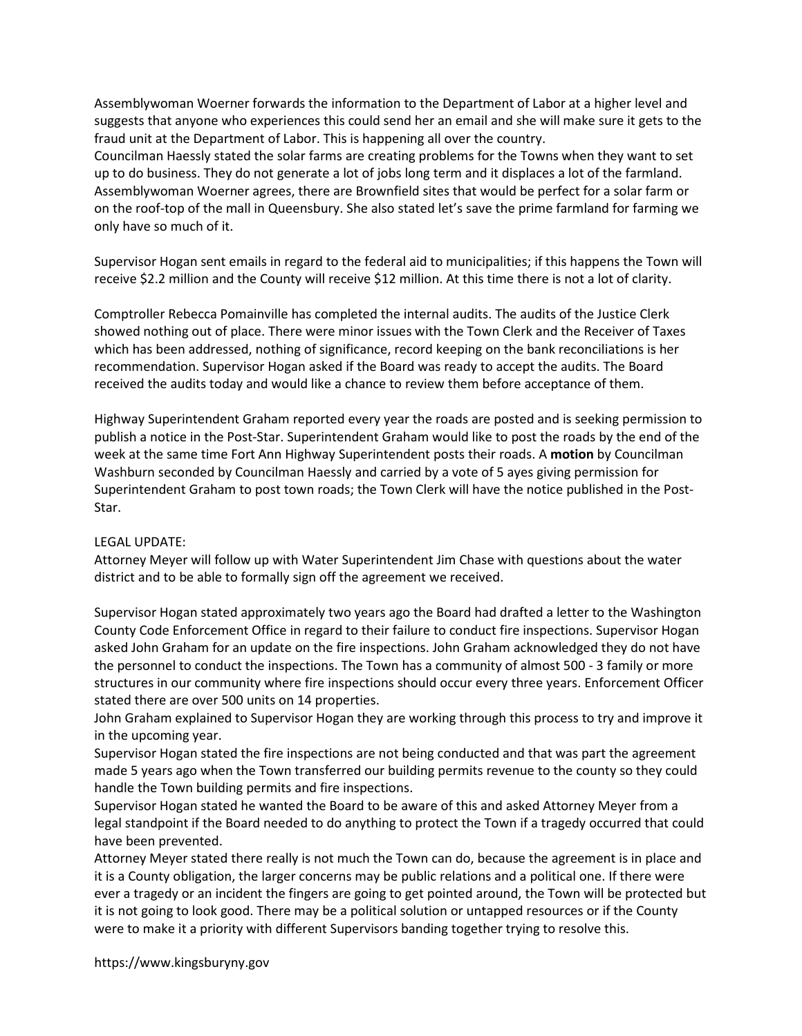Assemblywoman Woerner forwards the information to the Department of Labor at a higher level and suggests that anyone who experiences this could send her an email and she will make sure it gets to the fraud unit at the Department of Labor. This is happening all over the country.

Councilman Haessly stated the solar farms are creating problems for the Towns when they want to set up to do business. They do not generate a lot of jobs long term and it displaces a lot of the farmland. Assemblywoman Woerner agrees, there are Brownfield sites that would be perfect for a solar farm or on the roof-top of the mall in Queensbury. She also stated let's save the prime farmland for farming we only have so much of it.

Supervisor Hogan sent emails in regard to the federal aid to municipalities; if this happens the Town will receive \$2.2 million and the County will receive \$12 million. At this time there is not a lot of clarity.

Comptroller Rebecca Pomainville has completed the internal audits. The audits of the Justice Clerk showed nothing out of place. There were minor issues with the Town Clerk and the Receiver of Taxes which has been addressed, nothing of significance, record keeping on the bank reconciliations is her recommendation. Supervisor Hogan asked if the Board was ready to accept the audits. The Board received the audits today and would like a chance to review them before acceptance of them.

Highway Superintendent Graham reported every year the roads are posted and is seeking permission to publish a notice in the Post-Star. Superintendent Graham would like to post the roads by the end of the week at the same time Fort Ann Highway Superintendent posts their roads. A motion by Councilman Washburn seconded by Councilman Haessly and carried by a vote of 5 ayes giving permission for Superintendent Graham to post town roads; the Town Clerk will have the notice published in the Post-Star.

## LEGAL UPDATE:

Attorney Meyer will follow up with Water Superintendent Jim Chase with questions about the water district and to be able to formally sign off the agreement we received.

Supervisor Hogan stated approximately two years ago the Board had drafted a letter to the Washington County Code Enforcement Office in regard to their failure to conduct fire inspections. Supervisor Hogan asked John Graham for an update on the fire inspections. John Graham acknowledged they do not have the personnel to conduct the inspections. The Town has a community of almost 500 - 3 family or more structures in our community where fire inspections should occur every three years. Enforcement Officer stated there are over 500 units on 14 properties.

John Graham explained to Supervisor Hogan they are working through this process to try and improve it in the upcoming year.

Supervisor Hogan stated the fire inspections are not being conducted and that was part the agreement made 5 years ago when the Town transferred our building permits revenue to the county so they could handle the Town building permits and fire inspections.

Supervisor Hogan stated he wanted the Board to be aware of this and asked Attorney Meyer from a legal standpoint if the Board needed to do anything to protect the Town if a tragedy occurred that could have been prevented.

Attorney Meyer stated there really is not much the Town can do, because the agreement is in place and it is a County obligation, the larger concerns may be public relations and a political one. If there were ever a tragedy or an incident the fingers are going to get pointed around, the Town will be protected but it is not going to look good. There may be a political solution or untapped resources or if the County were to make it a priority with different Supervisors banding together trying to resolve this.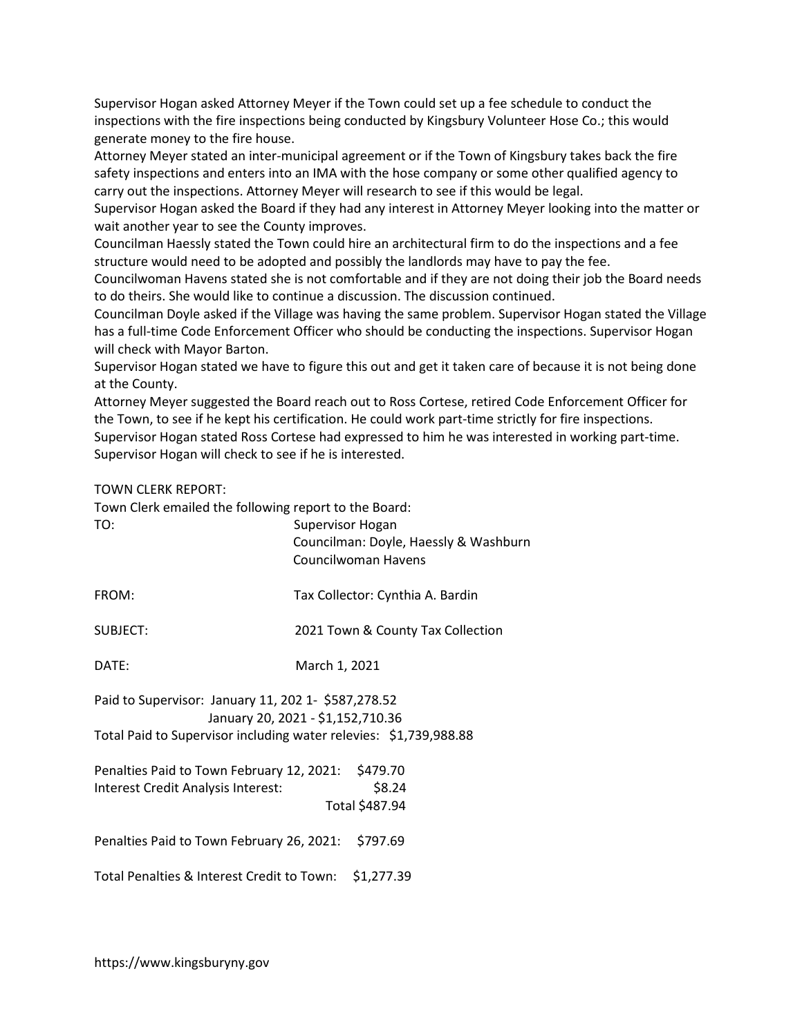Supervisor Hogan asked Attorney Meyer if the Town could set up a fee schedule to conduct the inspections with the fire inspections being conducted by Kingsbury Volunteer Hose Co.; this would generate money to the fire house.

Attorney Meyer stated an inter-municipal agreement or if the Town of Kingsbury takes back the fire safety inspections and enters into an IMA with the hose company or some other qualified agency to carry out the inspections. Attorney Meyer will research to see if this would be legal.

Supervisor Hogan asked the Board if they had any interest in Attorney Meyer looking into the matter or wait another year to see the County improves.

Councilman Haessly stated the Town could hire an architectural firm to do the inspections and a fee structure would need to be adopted and possibly the landlords may have to pay the fee.

Councilwoman Havens stated she is not comfortable and if they are not doing their job the Board needs to do theirs. She would like to continue a discussion. The discussion continued.

Councilman Doyle asked if the Village was having the same problem. Supervisor Hogan stated the Village has a full-time Code Enforcement Officer who should be conducting the inspections. Supervisor Hogan will check with Mayor Barton.

Supervisor Hogan stated we have to figure this out and get it taken care of because it is not being done at the County.

Attorney Meyer suggested the Board reach out to Ross Cortese, retired Code Enforcement Officer for the Town, to see if he kept his certification. He could work part-time strictly for fire inspections. Supervisor Hogan stated Ross Cortese had expressed to him he was interested in working part-time. Supervisor Hogan will check to see if he is interested.

## TOWN CLERK REPORT:

Town Clerk emailed the following report to the Board:

| TO:                                                                                                                                                           | Supervisor Hogan<br>Councilman: Doyle, Haessly & Washburn<br>Councilwoman Havens |  |
|---------------------------------------------------------------------------------------------------------------------------------------------------------------|----------------------------------------------------------------------------------|--|
| FROM:                                                                                                                                                         | Tax Collector: Cynthia A. Bardin                                                 |  |
| <b>SUBJECT:</b>                                                                                                                                               | 2021 Town & County Tax Collection                                                |  |
| DATE:                                                                                                                                                         | March 1, 2021                                                                    |  |
| Paid to Supervisor: January 11, 202 1- \$587,278.52<br>January 20, 2021 - \$1,152,710.36<br>Total Paid to Supervisor including water relevies: \$1,739,988.88 |                                                                                  |  |
| \$479.70<br>Penalties Paid to Town February 12, 2021:<br>\$8.24<br>Interest Credit Analysis Interest:<br>Total \$487.94                                       |                                                                                  |  |
| Penalties Paid to Town February 26, 2021:                                                                                                                     | \$797.69                                                                         |  |
| Total Penalties & Interest Credit to Town:                                                                                                                    | \$1,277.39                                                                       |  |